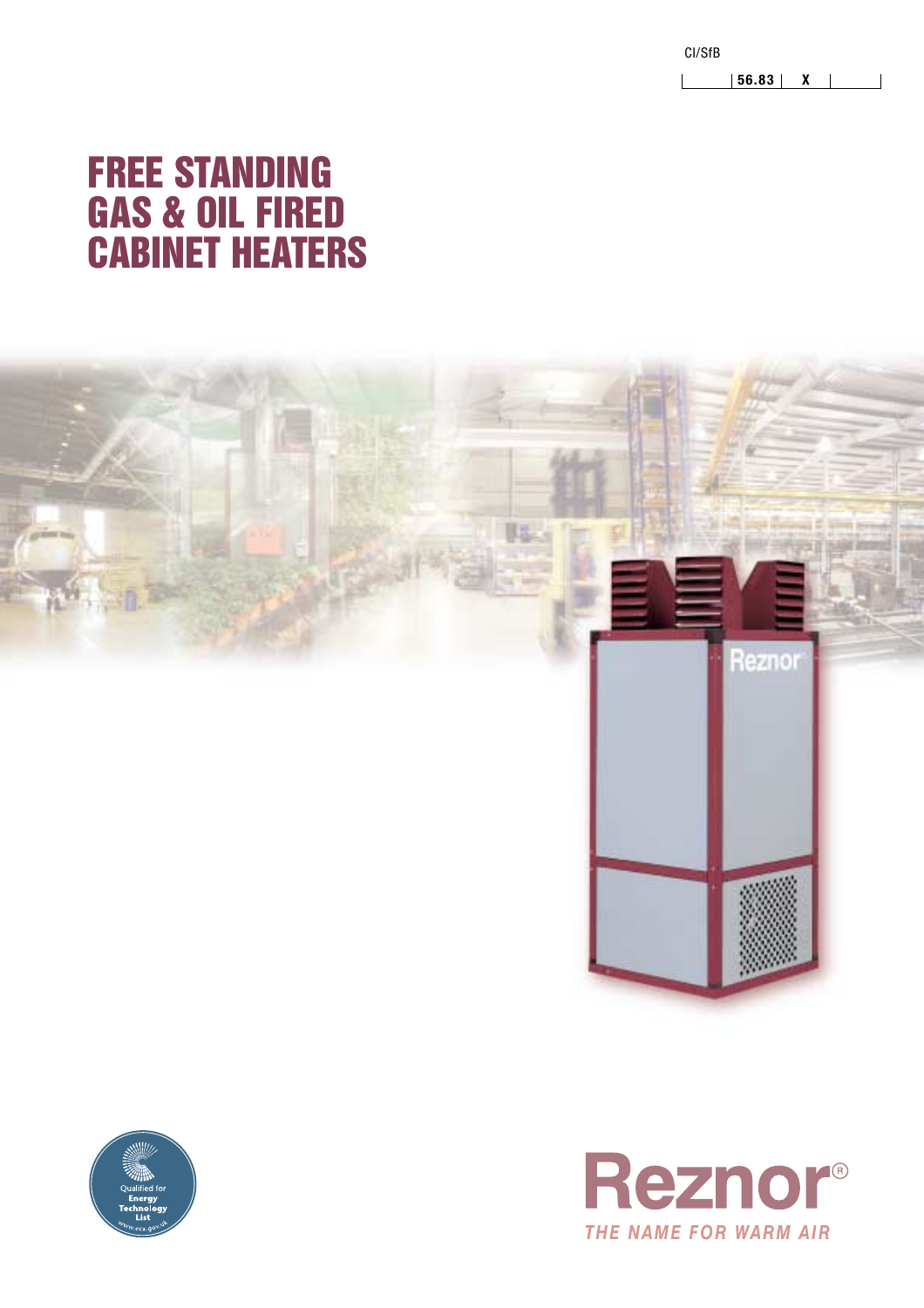CI/SfB  $|$  | 56.83 | X | |

## **FREE STANDING GAS & OIL FIRED CABINET HEATERS**





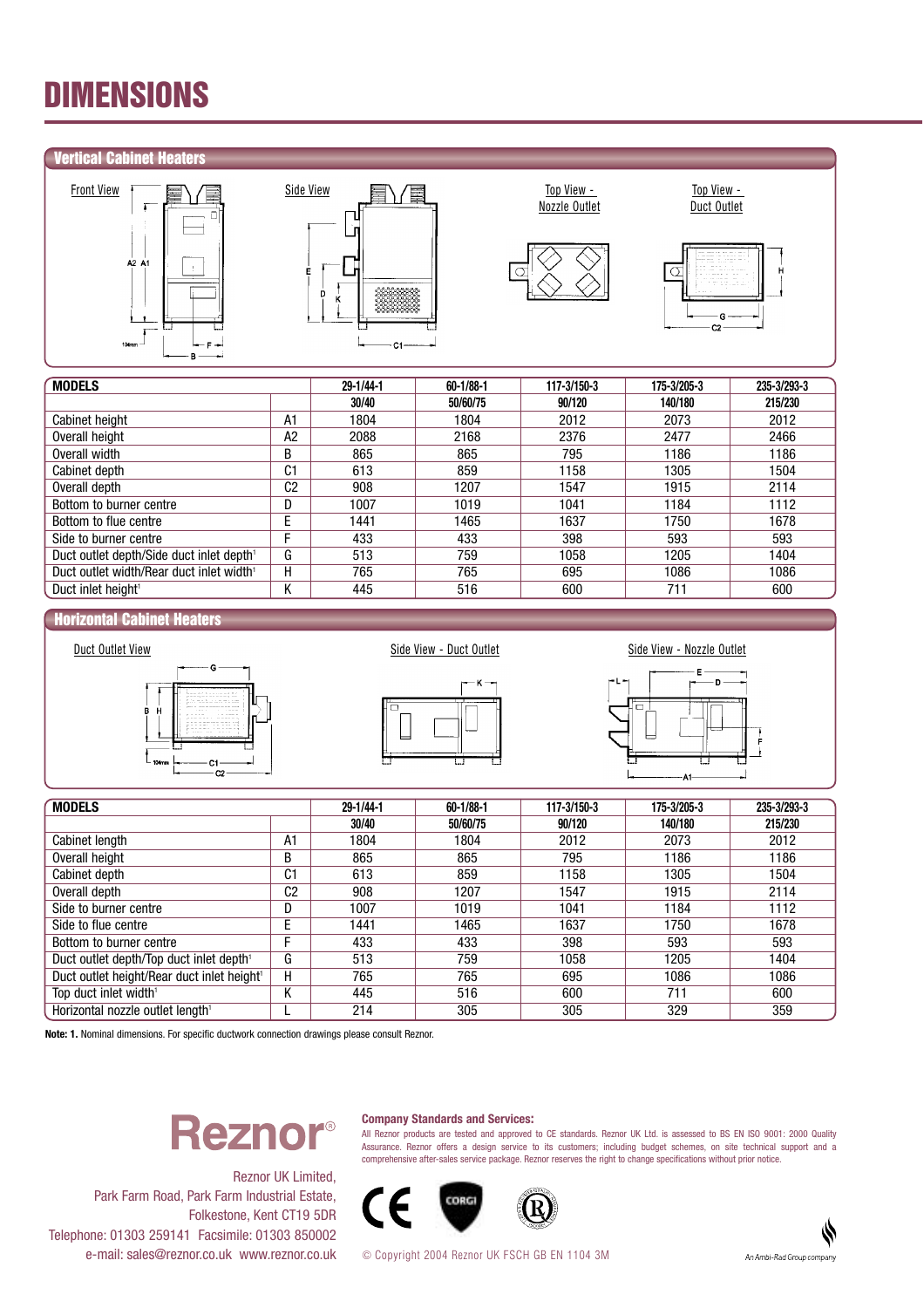## DIMENSIONS

### Vertical Cabinet Heaters







Top View -



| <b>MODELS</b>                                        | 29-1/44-1      | $60 - 1/88 - 1$ |          | 175-3/205-3 | 235-3/293-3 |         |
|------------------------------------------------------|----------------|-----------------|----------|-------------|-------------|---------|
|                                                      |                | 30/40           | 50/60/75 | 90/120      | 140/180     | 215/230 |
| Cabinet height                                       | A1             | 1804            | 1804     | 2012        | 2073        | 2012    |
| Overall height                                       | A <sub>2</sub> | 2088            | 2168     | 2376        | 2477        | 2466    |
| Overall width                                        | В              | 865             | 865      | 795         | 1186        | 1186    |
| Cabinet depth                                        | C1             | 613             | 859      | 1158        | 1305        | 1504    |
| C <sub>2</sub><br>Overall depth                      |                | 908             | 1207     | 1547        | 1915        | 2114    |
| Bottom to burner centre                              | D              | 1007            | 1019     | 1041        | 1184        | 1112    |
| Bottom to flue centre                                | E              | 1441            | 1465     | 1637        | 1750        | 1678    |
| Side to burner centre                                | E              | 433             | 433      | 398         | 593         | 593     |
| Duct outlet depth/Side duct inlet depth <sup>1</sup> | G              | 513             | 759      | 1058        | 1205        | 1404    |
| Duct outlet width/Rear duct inlet width <sup>1</sup> | н              | 765             | 765      | 695         | 1086        | 1086    |
| Duct inlet height <sup>1</sup>                       | n.             | 445             | 516      | 600         | 711         | 600     |

#### Horizontal Cabinet Heaters







| <b>MODELS</b>                                       | 29-1/44-1<br>60-1/88-1 |       | 117-3/150-3 | 175-3/205-3 | 235-3/293-3 |         |
|-----------------------------------------------------|------------------------|-------|-------------|-------------|-------------|---------|
|                                                     |                        | 30/40 | 50/60/75    | 90/120      | 140/180     | 215/230 |
| Cabinet length                                      | A1                     | 1804  | 1804        | 2012        | 2073        | 2012    |
| Overall height                                      | B                      | 865   | 865         | 795         | 1186        | 1186    |
| Cabinet depth                                       | C1                     | 613   | 859         | 1158        | 1305        | 1504    |
| Overall depth                                       | C <sub>2</sub>         | 908   | 1207        | 1547        | 1915        | 2114    |
| Side to burner centre                               | D                      | 1007  | 1019        | 1041        | 1184        | 1112    |
| Side to flue centre                                 | E                      | 1441  | 1465        | 1637        | 1750        | 1678    |
| Bottom to burner centre                             | F                      | 433   | 433         | 398         | 593         | 593     |
| Duct outlet depth/Top duct inlet depth <sup>1</sup> | G                      | 513   | 759         | 1058        | 1205        | 1404    |
| Duct outlet height/Rear duct inlet height1          | н                      | 765   | 765         | 695         | 1086        | 1086    |
| Top duct inlet width <sup>1</sup>                   | Κ                      | 445   | 516         | 600         | 711         | 600     |
| Horizontal nozzle outlet length <sup>1</sup>        |                        | 214   | 305         | 305         | 329         | 359     |

**Note: 1.** Nominal dimensions. For specific ductwork connection drawings please consult Reznor.

# **Reznor**®

#### **Company Standards and Services:**

All Reznor products are tested and approved to CE standards. Reznor UK Ltd. is assessed to BS EN ISO 9001: 2000 Quality Assurance. Reznor offers a design service to its customers; including budget schemes, on site technical support and a comprehensive after-sales service package. Reznor reserves the right to change specifications without prior notice.



Reznor UK Limited, Park Farm Road, Park Farm Industrial Estate, Folkestone, Kent CT19 5DR Telephone: 01303 259141 Facsimile: 01303 850002 e-mail: sales@reznor.co.uk www.reznor.co.uk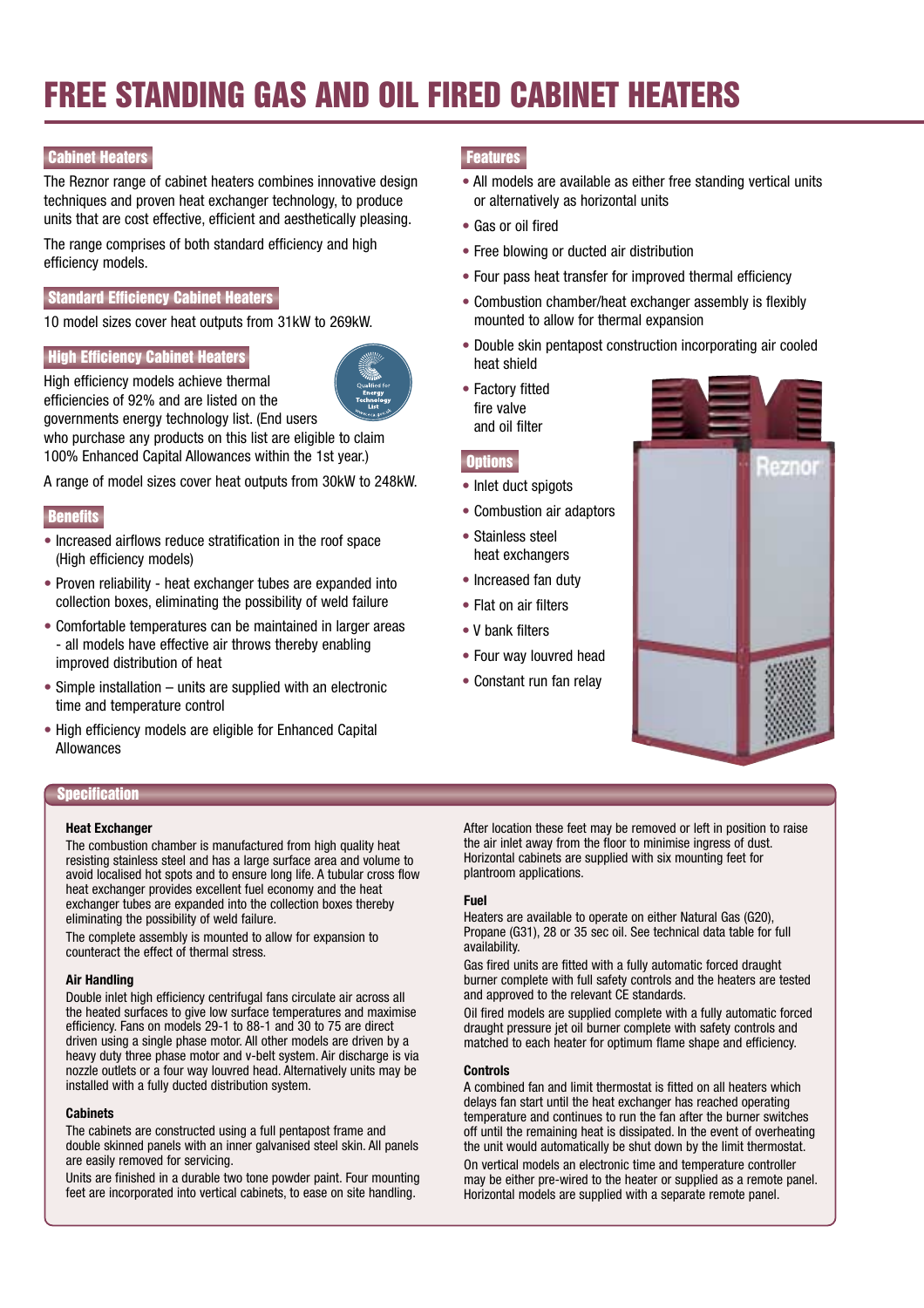## FREE STANDING GAS AND OIL FIRED CABINET HEATERS

## **Cabinet Heaters**

The Reznor range of cabinet heaters combines innovative design techniques and proven heat exchanger technology, to produce units that are cost effective, efficient and aesthetically pleasing.

The range comprises of both standard efficiency and high efficiency models.

### Standard Efficiency Cabinet Heaters

10 model sizes cover heat outputs from 31kW to 269kW.

### **High Efficiency Cabinet Heaters**

High efficiency models achieve thermal efficiencies of 92% and are listed on the

governments energy technology list. (End users who purchase any products on this list are eligible to claim

100% Enhanced Capital Allowances within the 1st year.)

A range of model sizes cover heat outputs from 30kW to 248kW.

### **Benefits**

- Increased airflows reduce stratification in the roof space (High efficiency models)
- Proven reliability heat exchanger tubes are expanded into collection boxes, eliminating the possibility of weld failure
- Comfortable temperatures can be maintained in larger areas - all models have effective air throws thereby enabling improved distribution of heat
- Simple installation units are supplied with an electronic time and temperature control
- High efficiency models are eligible for Enhanced Capital Allowances

### **Specification**

#### **Heat Exchanger**

The combustion chamber is manufactured from high quality heat resisting stainless steel and has a large surface area and volume to avoid localised hot spots and to ensure long life. A tubular cross flow heat exchanger provides excellent fuel economy and the heat exchanger tubes are expanded into the collection boxes thereby eliminating the possibility of weld failure.

The complete assembly is mounted to allow for expansion to counteract the effect of thermal stress.

#### **Air Handling**

Double inlet high efficiency centrifugal fans circulate air across all the heated surfaces to give low surface temperatures and maximise efficiency. Fans on models 29-1 to 88-1 and 30 to 75 are direct driven using a single phase motor. All other models are driven by a heavy duty three phase motor and v-belt system. Air discharge is via nozzle outlets or a four way louvred head. Alternatively units may be installed with a fully ducted distribution system.

#### **Cabinets**

The cabinets are constructed using a full pentapost frame and double skinned panels with an inner galvanised steel skin. All panels are easily removed for servicing.

Units are finished in a durable two tone powder paint. Four mounting feet are incorporated into vertical cabinets, to ease on site handling.

## **Features**

- All models are available as either free standing vertical units or alternatively as horizontal units
- Gas or oil fired
- Free blowing or ducted air distribution
- Four pass heat transfer for improved thermal efficiency
- Combustion chamber/heat exchanger assembly is flexibly mounted to allow for thermal expansion
- Double skin pentapost construction incorporating air cooled heat shield
- Factory fitted fire valve and oil filter

#### **Options**

- Inlet duct spigots
- Combustion air adaptors
- Stainless steel heat exchangers
- Increased fan duty
- Flat on air filters
- V bank filters
- Four way louvred head
- Constant run fan relay



After location these feet may be removed or left in position to raise the air inlet away from the floor to minimise ingress of dust. Horizontal cabinets are supplied with six mounting feet for plantroom applications.

#### **Fuel**

Heaters are available to operate on either Natural Gas (G20), Propane (G31), 28 or 35 sec oil. See technical data table for full availability.

Gas fired units are fitted with a fully automatic forced draught burner complete with full safety controls and the heaters are tested and approved to the relevant CE standards.

Oil fired models are supplied complete with a fully automatic forced draught pressure jet oil burner complete with safety controls and matched to each heater for optimum flame shape and efficiency.

#### **Controls**

A combined fan and limit thermostat is fitted on all heaters which delays fan start until the heat exchanger has reached operating temperature and continues to run the fan after the burner switches off until the remaining heat is dissipated. In the event of overheating the unit would automatically be shut down by the limit thermostat. On vertical models an electronic time and temperature controller may be either pre-wired to the heater or supplied as a remote panel. Horizontal models are supplied with a separate remote panel.